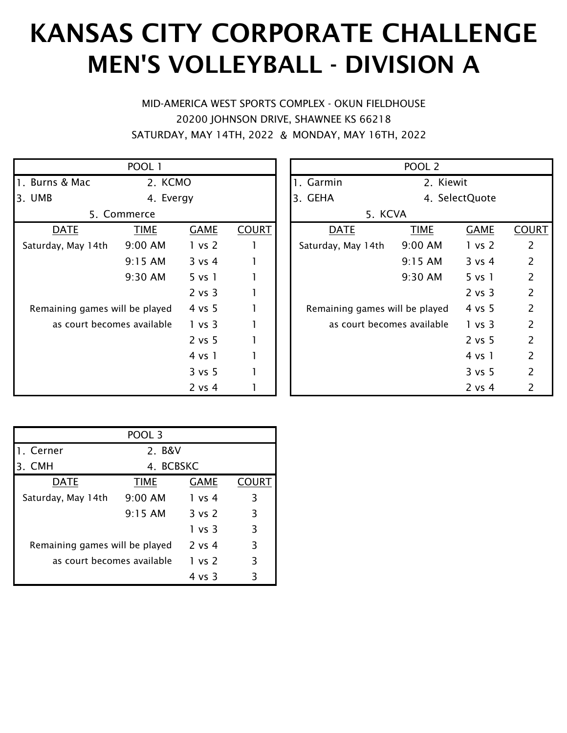# KANSAS CITY CORPORATE CHALLENGE MEN'S VOLLEYBALL - DIVISION A

& SATURDAY, MAY 14TH, 2022 MONDAY, MAY 16TH, 2022 MID-AMERICA WEST SPORTS COMPLEX - OKUN FIELDHOUSE 20200 JOHNSON DRIVE, SHAWNEE KS 66218

|                                | POOL 1    |             |              |  |                                | POOL <sub>2</sub> |                |     |
|--------------------------------|-----------|-------------|--------------|--|--------------------------------|-------------------|----------------|-----|
| 1. Burns & Mac                 | 2. KCMO   |             |              |  | 1. Garmin                      | 2. Kiewit         |                |     |
| 3. UMB                         | 4. Evergy |             |              |  | 3. GEHA                        |                   | 4. SelectQuote |     |
| 5. Commerce                    |           |             |              |  | 5. KCVA                        |                   |                |     |
| <b>DATE</b>                    | TIME      | <b>GAME</b> | <b>COURT</b> |  | <b>DATE</b>                    | <b>TIME</b>       | <b>GAME</b>    | COL |
| Saturday, May 14th             | 9:00 AM   | 1 vs 2      |              |  | Saturday, May 14th             | 9:00 AM           | 1 vs 2         | 2   |
|                                | 9:15 AM   | 3 v s 4     |              |  |                                | 9:15 AM           | 3 v s 4        | 2   |
|                                | 9:30 AM   | $5$ vs $1$  |              |  |                                | 9:30 AM           | 5 vs 1         | 2   |
|                                |           | 2 vs 3      |              |  |                                |                   | 2 vs 3         | 2   |
| Remaining games will be played |           | 4 vs 5      |              |  | Remaining games will be played |                   | 4 vs 5         | 2   |
| as court becomes available     |           | 1 vs 3      |              |  | as court becomes available     |                   | 1 vs 3         | 2   |
|                                |           | 2 vs 5      |              |  |                                |                   | 2 vs 5         | 2   |
|                                |           | 4 vs 1      |              |  |                                |                   | 4 vs 1         | 2   |
|                                |           | 3 vs 5      |              |  |                                |                   | 3 vs 5         | 2   |
|                                |           | $2$ vs $4$  |              |  |                                |                   | $2$ vs $4$     | 2   |

|                             | POOL 1      |                    |              | POOL <sub>2</sub>              |             |                    |                |  |  |
|-----------------------------|-------------|--------------------|--------------|--------------------------------|-------------|--------------------|----------------|--|--|
| s & Mac                     | 2. KCMO     |                    |              | 1. Garmin                      | 2. Kiewit   |                    |                |  |  |
|                             | 4. Evergy   |                    | 3. GEHA      | 4. SelectQuote                 |             |                    |                |  |  |
|                             | 5. Commerce |                    |              | 5. KCVA                        |             |                    |                |  |  |
| <u>DATE</u>                 | <b>TIME</b> | <b>GAME</b>        | <b>COURT</b> | <b>DATE</b>                    | <b>TIME</b> | <b>GAME</b>        | <b>COURT</b>   |  |  |
| ay, May 14th                | 9:00 AM     | 1 vs 2             |              | Saturday, May 14th             | 9:00 AM     | 1 vs 2             | $\overline{2}$ |  |  |
|                             | 9:15 AM     | 3 v s 4            |              |                                | 9:15 AM     | 3 vs 4             | $\overline{2}$ |  |  |
|                             | 9:30 AM     | 5 v <sub>s</sub> 1 |              |                                | 9:30 AM     | 5 v <sub>s</sub> 1 | $\overline{2}$ |  |  |
|                             |             | 2 vs 3             |              |                                |             | 2 vs 3             | $\overline{2}$ |  |  |
| iining games will be played |             | 4 vs 5             |              | Remaining games will be played |             | 4 vs 5             | $\overline{2}$ |  |  |
| as court becomes available  |             | 1 vs 3             |              | as court becomes available     |             | 1 vs 3             | $\overline{2}$ |  |  |
|                             |             | 2 vs 5             |              |                                |             | 2 vs 5             | $\overline{2}$ |  |  |
|                             |             | 4 vs 1             |              |                                |             | 4 vs 1             | $\overline{2}$ |  |  |
|                             |             | 3 vs 5             |              |                                |             | 3 vs 5             | 2              |  |  |
|                             |             | 2 vs 4             |              |                                |             | 2 vs 4             | 2              |  |  |

|                                | POOL 3      |             |       |  |  |  |
|--------------------------------|-------------|-------------|-------|--|--|--|
| 1. Cerner                      | 2. B&V      |             |       |  |  |  |
| 3. CMH                         | 4. BCBSKC   |             |       |  |  |  |
| <b>DATE</b>                    | <b>TIME</b> | <b>GAME</b> | COURT |  |  |  |
| Saturday, May 14th             | $9:00$ AM   | 1 vs 4      | 3     |  |  |  |
|                                | $9:15$ AM   | 3 vs 2      | 3     |  |  |  |
|                                |             | 1 vs 3      | 3     |  |  |  |
| Remaining games will be played |             | 2 vs 4      | 3     |  |  |  |
| as court becomes available     |             | 1 vs 2      | 3     |  |  |  |
|                                |             | 4 vs 3      | 3     |  |  |  |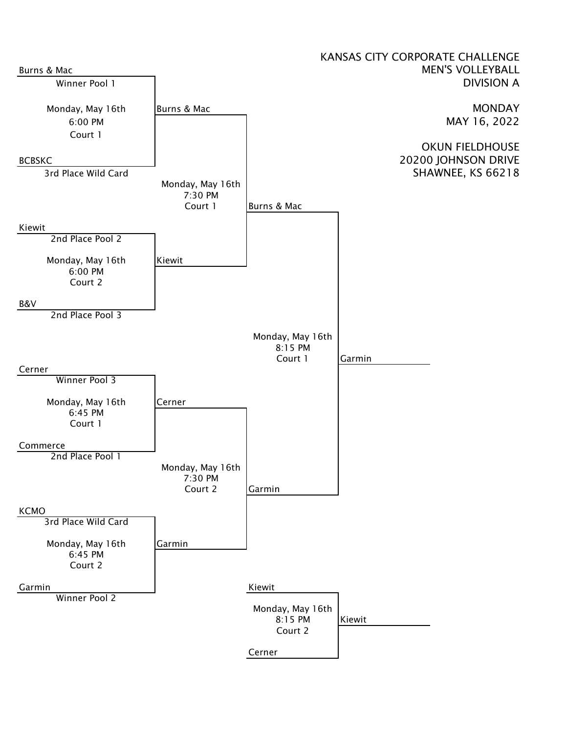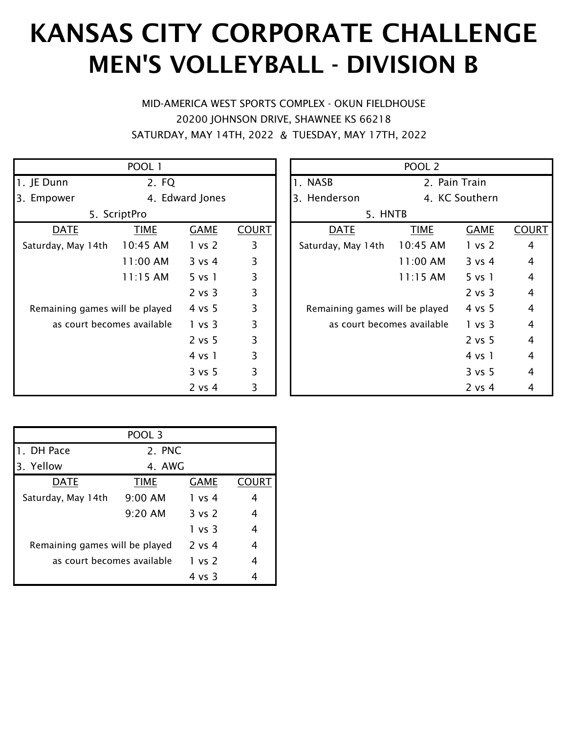# KANSAS CITY CORPORATE CHALLENGE MEN'S VOLLEYBALL - DIVISION B

& SATURDAY, MAY 14TH, 2022 TUESDAY, MAY 17TH, 2022 MID-AMERICA WEST SPORTS COMPLEX - OKUN FIELDHOUSE 20200 JOHNSON DRIVE, SHAWNEE KS 66218

|                                | POOL 1       |                    |              |                                | POOL <sub>2</sub> |                |                |
|--------------------------------|--------------|--------------------|--------------|--------------------------------|-------------------|----------------|----------------|
| 1. JE Dunn                     | 2. FQ        |                    |              | 1. NASB                        |                   | 2. Pain Train  |                |
| 3. Empower                     |              | 4. Edward Jones    |              | 3. Henderson                   |                   | 4. KC Southern |                |
|                                | 5. ScriptPro |                    |              | 5. HNTB                        |                   |                |                |
| <b>DATE</b>                    | <b>TIME</b>  | <b>GAME</b>        | <b>COURT</b> | <b>DATE</b>                    | <b>TIME</b>       | <b>GAME</b>    | <u>COL</u>     |
| Saturday, May 14th             | 10:45 AM     | 1 vs 2             | 3            | Saturday, May 14th             | 10:45 AM          | 1 vs 2         | $\overline{4}$ |
|                                | 11:00 AM     | 3 v s 4            | 3            |                                | 11:00 AM          | 3 v s 4        | 4              |
|                                | $11:15$ AM   | 5 v <sub>s</sub> 1 | 3            |                                | $11:15$ AM        | 5 vs 1         | 4              |
|                                |              | 2 vs 3             | 3            |                                |                   | 2 vs 3         | $\overline{4}$ |
| Remaining games will be played |              | 4 vs 5             | 3            | Remaining games will be played |                   | 4 vs 5         | $\overline{4}$ |
| as court becomes available     |              | 1 vs 3             | 3            | as court becomes available     |                   | 1 vs 3         | 4              |
|                                |              | 2 vs 5             | 3            |                                |                   | 2 vs 5         | $\overline{4}$ |
|                                |              | 4 vs 1             | 3            |                                |                   | 4 vs 1         | 4              |
|                                |              | 3 vs 5             | 3            |                                |                   | 3 vs 5         | 4              |
|                                |              | $2$ vs $4$         | 3            |                                |                   | 2 vs 4         | 4              |

|                             | POOL 1       |                    |              |  |                                | POOL <sub>2</sub> |                    |                |
|-----------------------------|--------------|--------------------|--------------|--|--------------------------------|-------------------|--------------------|----------------|
| ınn                         | 2. FQ        |                    |              |  | 1. NASB<br>2. Pain Train       |                   |                    |                |
| ower                        |              | 4. Edward Jones    |              |  | 3. Henderson                   | 4. KC Southern    |                    |                |
|                             | 5. ScriptPro |                    |              |  | 5. HNTB                        |                   |                    |                |
| <u>DATE</u>                 | <b>TIME</b>  | <b>GAME</b>        | <b>COURT</b> |  | <b>DATE</b>                    | <b>TIME</b>       | <b>GAME</b>        | <b>COURT</b>   |
| ay, May 14th                | 10:45 AM     | 1 vs 2             | 3            |  | Saturday, May 14th             | 10:45 AM          | 1 vs 2             | $\overline{4}$ |
|                             | 11:00 AM     | 3 v s 4            | 3            |  |                                | 11:00 AM          | 3 v s 4            | $\overline{4}$ |
|                             | $11:15$ AM   | 5 v <sub>s</sub> 1 | 3            |  |                                | $11:15$ AM        | 5 v <sub>s</sub> 1 | $\overline{4}$ |
|                             |              | 2 vs 3             | 3            |  |                                |                   | 2 vs 3             | 4              |
| iining games will be played |              | 4 vs 5             | 3            |  | Remaining games will be played |                   | 4 vs 5             | $\overline{4}$ |
| as court becomes available  |              | 1 vs 3             | 3            |  | as court becomes available     |                   | 1 vs 3             | 4              |
|                             |              | 2 vs 5             | 3            |  |                                |                   | 2 vs 5             | 4              |
|                             |              | 4 vs 1             | 3            |  |                                |                   | 4 vs 1             | 4              |
|                             |              | 3 vs 5             | 3            |  |                                |                   | 3 vs 5             | 4              |
|                             |              | 2 vs 4             | 3            |  |                                |                   | $2$ vs $4$         | 4              |

|                                | POOL <sub>3</sub> |                   |              |  |  |
|--------------------------------|-------------------|-------------------|--------------|--|--|
| 1. DH Pace                     | 2. PNC            |                   |              |  |  |
| 3. Yellow                      | 4. AWG            |                   |              |  |  |
| <b>DATE</b>                    | <b>TIME</b>       | <b>GAME</b>       | <b>COURT</b> |  |  |
| Saturday, May 14th             | $9:00$ AM         | 1 vs 4            | 4            |  |  |
|                                | $9:20$ AM         | $3 \text{ vs } 2$ | 4            |  |  |
|                                |                   | 1 vs 3            | 4            |  |  |
| Remaining games will be played |                   | $2$ vs $4$        | 4            |  |  |
| as court becomes available     | 1 vs 2            | 4                 |              |  |  |
|                                |                   | 4 vs 3            |              |  |  |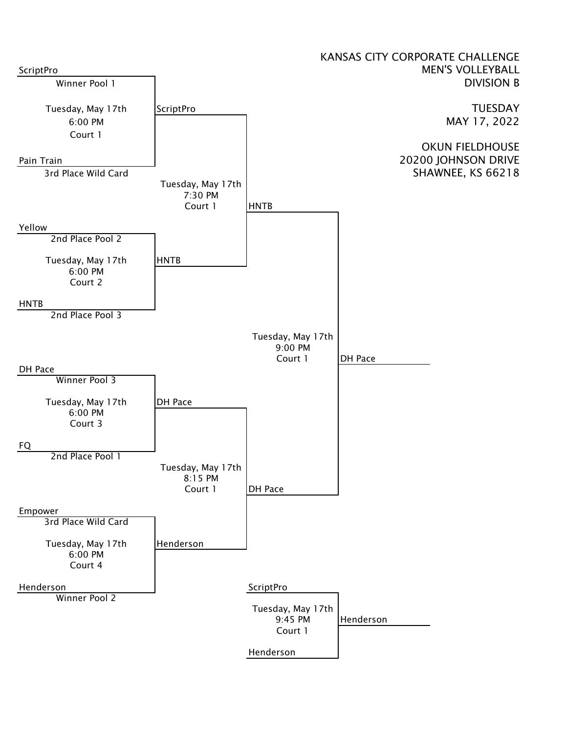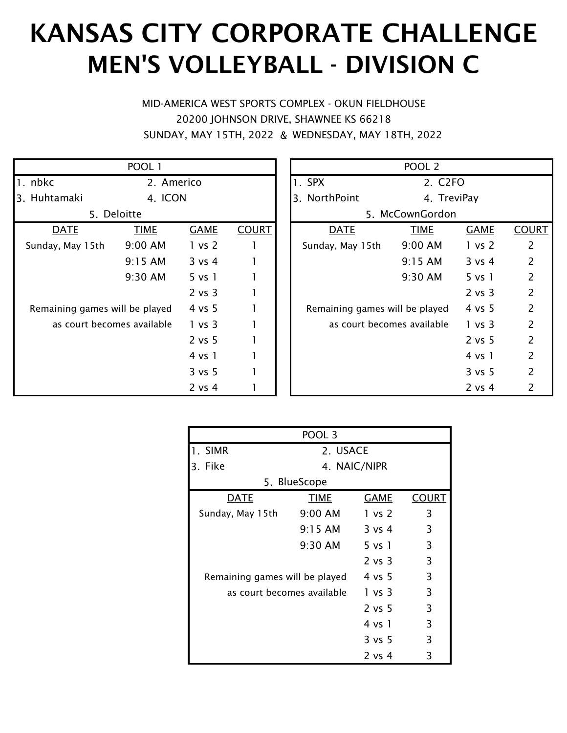# KANSAS CITY CORPORATE CHALLENGE MEN'S VOLLEYBALL - DIVISION C

& SUNDAY, MAY 15TH, 2022 WEDNESDAY, MAY 18TH, 2022 MID-AMERICA WEST SPORTS COMPLEX - OKUN FIELDHOUSE 20200 JOHNSON DRIVE, SHAWNEE KS 66218

|                                | POOL 1      |                    |              |                                | POOL <sub>2</sub>   |                    |     |
|--------------------------------|-------------|--------------------|--------------|--------------------------------|---------------------|--------------------|-----|
| 1. nbkc                        | 2. Americo  |                    |              | 1. SPX                         | 2. C <sub>2FO</sub> |                    |     |
| 3. Huhtamaki                   | 4. ICON     |                    |              | 3. NorthPoint                  | 4. TreviPay         |                    |     |
|                                | 5. Deloitte |                    |              |                                | 5. McCownGordon     |                    |     |
| <b>DATE</b>                    | <b>TIME</b> | <b>GAME</b>        | <b>COURT</b> | <b>DATE</b>                    | <b>TIME</b>         | <b>GAME</b>        | COL |
| Sunday, May 15th               | 9:00 AM     | 1 vs 2             |              | Sunday, May 15th               | 9:00 AM             | 1 vs 2             | 2   |
|                                | 9:15 AM     | 3 v s 4            |              |                                | 9:15 AM             | 3 v s 4            | 2   |
|                                | 9:30 AM     | 5 v <sub>s</sub> 1 |              |                                | 9:30 AM             | 5 v <sub>s</sub> 1 | 2   |
|                                |             | 2 vs 3             |              |                                |                     | 2 vs 3             | 2   |
| Remaining games will be played |             | 4 vs 5             |              | Remaining games will be played |                     | 4 vs 5             | 2   |
| as court becomes available     |             | 1 vs 3             |              | as court becomes available     |                     | 1 vs 3             | 2   |
|                                |             | 2 vs 5             |              |                                |                     | 2 vs 5             | 2   |
|                                |             | 4 vs 1             |              |                                |                     | 4 vs 1             | 2   |
|                                |             | 3 vs 5             |              |                                |                     | 3 vs 5             | 2   |
|                                |             | 2 vs 4             |              |                                |                     | $2$ vs 4           | 2   |

|                             | POOL 1      |                    |              | POOL <sub>2</sub>              |                     |             |                |  |  |
|-----------------------------|-------------|--------------------|--------------|--------------------------------|---------------------|-------------|----------------|--|--|
|                             | 2. Americo  |                    |              | 1. SPX                         | 2. C <sub>2FO</sub> |             |                |  |  |
| :amaki                      | 4. ICON     |                    |              | 3. NorthPoint                  | 4. TreviPay         |             |                |  |  |
|                             | 5. Deloitte |                    |              |                                | 5. McCownGordon     |             |                |  |  |
| DATE                        | <b>TIME</b> | <b>GAME</b>        | <b>COURT</b> | <b>DATE</b>                    | <b>TIME</b>         | <b>GAME</b> | <b>COURT</b>   |  |  |
| y, May 15th                 | 9:00 AM     | 1 vs 2             | 1            | Sunday, May 15th               | 9:00 AM             | 1 vs 2      | $\overline{2}$ |  |  |
|                             | 9:15 AM     | 3 v s 4            |              |                                | 9:15 AM             | 3 v s 4     | $\overline{2}$ |  |  |
|                             | 9:30 AM     | 5 v <sub>s</sub> 1 |              |                                | 9:30 AM             | $5$ vs $1$  | $\overline{2}$ |  |  |
|                             |             | 2 vs 3             |              |                                |                     | 2 vs 3      | $\overline{2}$ |  |  |
| iining games will be played |             | 4 vs 5             |              | Remaining games will be played |                     | 4 vs 5      | $\overline{2}$ |  |  |
| as court becomes available  |             | 1 vs 3             |              | as court becomes available     |                     | 1 vs 3      | $\overline{2}$ |  |  |
|                             |             | 2 vs 5             |              |                                |                     | 2 vs 5      | 2              |  |  |
|                             |             | 4 vs 1             |              |                                |                     | 4 vs 1      | $\overline{2}$ |  |  |
|                             |             | 3 vs 5             |              |                                |                     | 3 vs 5      | $\overline{2}$ |  |  |
|                             |             | $2$ vs $4$         |              |                                |                     | $2$ vs $4$  | 2              |  |  |

|                                | POOL 3       |             |              |  |  |  |
|--------------------------------|--------------|-------------|--------------|--|--|--|
| 1. SIMR                        | 2. USACE     |             |              |  |  |  |
| Fike<br>3.                     | 4. NAIC/NIPR |             |              |  |  |  |
|                                | 5. BlueScope |             |              |  |  |  |
| <b>DATE</b>                    | TIME         | <b>GAME</b> | <b>COURT</b> |  |  |  |
| Sunday, May 15th 9:00 AM       |              | 1 vs 2      | 3            |  |  |  |
|                                | $9:15$ AM    | $3$ vs 4    | 3            |  |  |  |
|                                | 9:30 AM      | 5 vs 1      | 3            |  |  |  |
|                                |              | $2$ vs $3$  | 3            |  |  |  |
| Remaining games will be played |              | 4 vs 5      | 3            |  |  |  |
| as court becomes available     |              | 1 vs 3      | 3            |  |  |  |
|                                |              | $2$ vs 5    | 3            |  |  |  |
|                                |              | 4 vs 1      | 3            |  |  |  |
|                                |              | 3 vs 5      | 3            |  |  |  |
|                                |              | 2 vs 4      | 3            |  |  |  |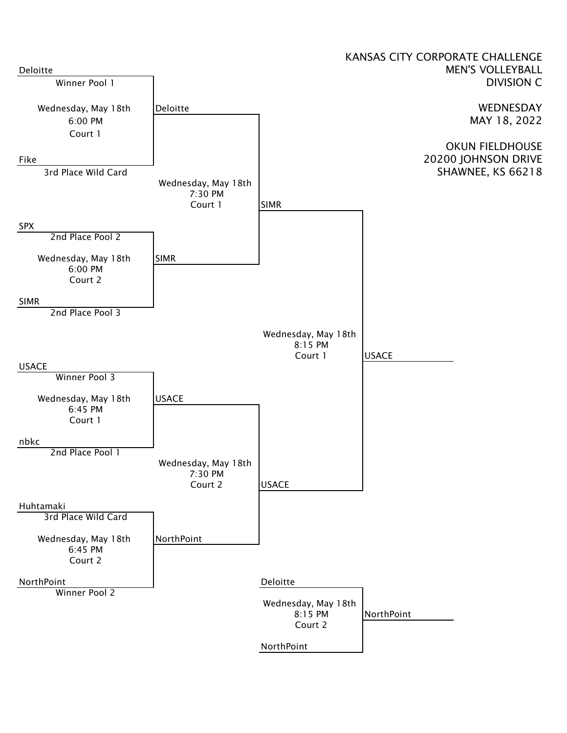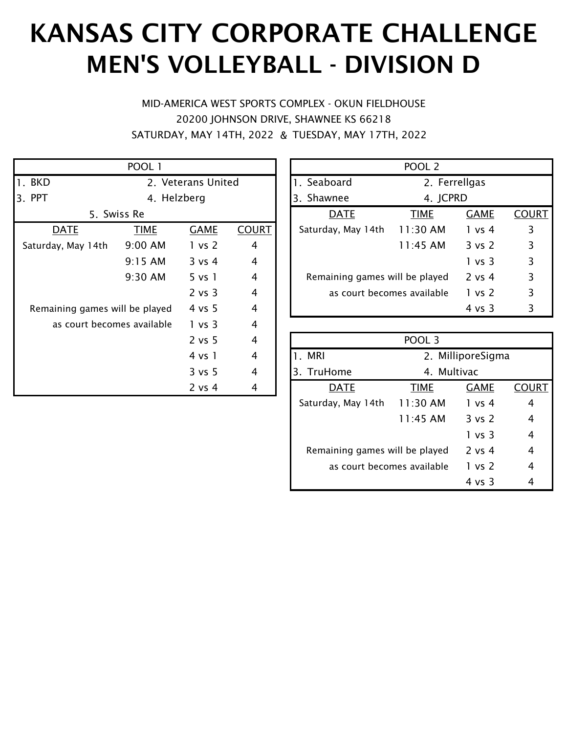# KANSAS CITY CORPORATE CHALLENGE MEN'S VOLLEYBALL - DIVISION D

& SATURDAY, MAY 14TH, 2022 TUESDAY, MAY 17TH, 2022 MID-AMERICA WEST SPORTS COMPLEX - OKUN FIELDHOUSE 20200 JOHNSON DRIVE, SHAWNEE KS 66218

|                                | POOL 1             |                    |                |                             | <b>POOL</b>    |
|--------------------------------|--------------------|--------------------|----------------|-----------------------------|----------------|
| 1. BKD                         | 2. Veterans United |                    |                | 1. Seaboard                 | 2.             |
| 3. PPT                         | 4. Helzberg        |                    |                | 3. Shawnee                  | 4.             |
|                                | 5. Swiss Re        |                    |                | <b>DATE</b>                 | <b>TIME</b>    |
| <b>DATE</b>                    | <b>TIME</b>        | <b>GAME</b>        | <b>COURT</b>   | Saturday, May 14th          | $11:30 \; \mu$ |
| Saturday, May 14th             | 9:00 AM            | 1 vs 2             | 4              |                             | 11:45/         |
|                                | 9:15 AM            | 3 v s 4            | $\overline{4}$ |                             |                |
|                                | 9:30 AM            | 5 v <sub>s</sub> 1 | 4              | Remaining games will be pla |                |
|                                |                    | 2 vs 3             | 4              | as court becomes availa     |                |
| Remaining games will be played |                    | 4 vs 5             | 4              |                             |                |
| as court becomes available     |                    | 1 vs 3             | $\overline{4}$ |                             |                |
|                                |                    | 2 vs 5             | $\overline{4}$ |                             | <b>POOL</b>    |
|                                |                    | 4 vs 1             | 4              | 1. MRI                      | 2.             |
|                                |                    | 3 vs 5             | 4              | 3. TruHome                  | 4.             |
|                                |                    | 2 vs 4             | 4              | <u>DATE</u>                 | TIME           |

|                                | POOL <sub>2</sub> |                   |       |  |  |  |
|--------------------------------|-------------------|-------------------|-------|--|--|--|
| 1. Seaboard                    | 2. Ferrellgas     |                   |       |  |  |  |
| 3. Shawnee                     | 4. JCPRD          |                   |       |  |  |  |
| <b>DATE</b>                    | <b>TIME</b>       | <b>GAME</b>       | COURT |  |  |  |
| Saturday, May 14th             | 11:30 AM          | 1 vs 4            | 3     |  |  |  |
|                                | $11:45$ AM        | $3 \text{ vs } 2$ | 3     |  |  |  |
|                                |                   | 1 vs 3            | 3     |  |  |  |
| Remaining games will be played |                   | $2$ vs 4          | 3     |  |  |  |
| as court becomes available     | 1 vs 2            | 3                 |       |  |  |  |
|                                |                   | 4 vs 3            | ξ     |  |  |  |

|                                | POOL 3            |                   |   |  |  |  |
|--------------------------------|-------------------|-------------------|---|--|--|--|
| 1. MRI                         | 2. MilliporeSigma |                   |   |  |  |  |
| 3. TruHome                     | 4. Multivac       |                   |   |  |  |  |
| DATE                           | <b>TIME</b>       | <b>GAME</b>       |   |  |  |  |
| Saturday, May 14th             | 11:30 AM          | 1 vs 4            | 4 |  |  |  |
|                                | $11:45$ AM        | $3 \text{ vs } 2$ | 4 |  |  |  |
|                                |                   | 1 vs 3            | 4 |  |  |  |
| Remaining games will be played |                   | $2 \text{ vs } 4$ | 4 |  |  |  |
| as court becomes available     | 1 vs 2            | 4                 |   |  |  |  |
|                                |                   | 4 vs 3            |   |  |  |  |
|                                |                   |                   |   |  |  |  |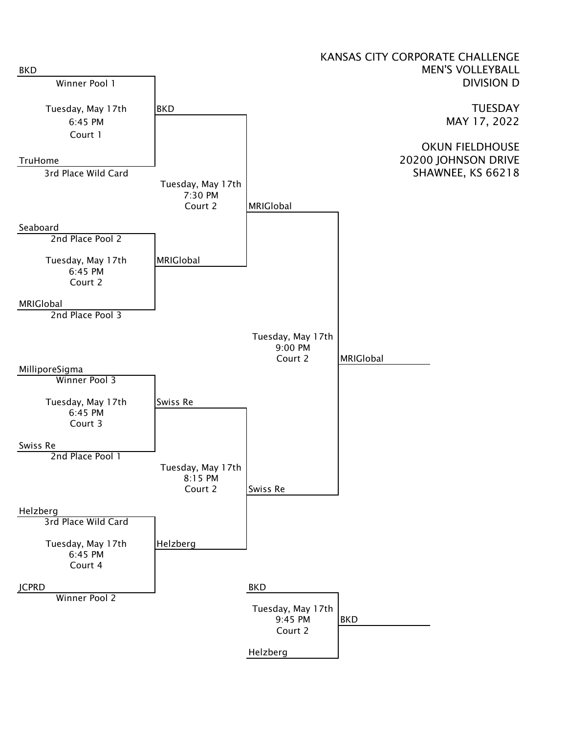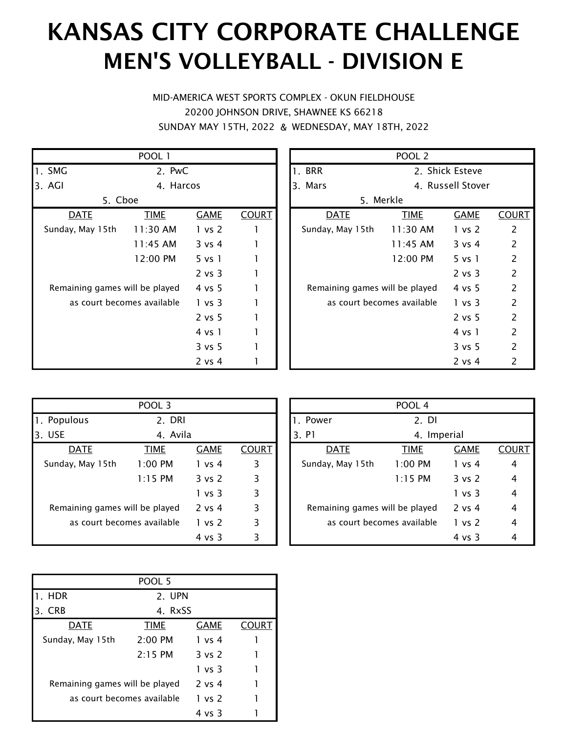#### KANSAS CITY CORPORATE CHALLENGE MEN'S VOLLEYBALL - DIVISION E

& SUNDAY MAY 15TH, 2022 WEDNESDAY, MAY 18TH, 2022 MID-AMERICA WEST SPORTS COMPLEX - OKUN FIELDHOUSE 20200 JOHNSON DRIVE, SHAWNEE KS 66218

|                                | POOL 1                     |             |              |                             | <b>POOL</b> |
|--------------------------------|----------------------------|-------------|--------------|-----------------------------|-------------|
| 1. SMG                         | 2. PwC                     |             |              | 1. BRR                      | 2.          |
| 3. AGI                         | 4. Harcos                  |             |              | 3. Mars                     | 4.          |
|                                | 5. Cboe                    |             |              |                             | 5. Merkle   |
| <b>DATE</b>                    | <b>TIME</b>                | <b>GAME</b> | <b>COURT</b> | <u>DATE</u>                 | <b>TIME</b> |
| Sunday, May 15th               | 11:30 AM                   | 1 vs 2      |              | Sunday, May 15th            | 11:30/      |
|                                | $11:45$ AM                 | 3 vs 4      |              |                             | 11:45/      |
|                                | 12:00 PM                   | 5 vs 1      |              |                             | 12:00 l     |
|                                |                            | 2 vs 3      |              |                             |             |
| Remaining games will be played |                            | 4 vs 5      |              | Remaining games will be pla |             |
|                                | as court becomes available | 1 vs 3      |              | as court becomes availa     |             |
|                                |                            | 2 vs 5      |              |                             |             |
|                                |                            | 4 vs 1      |              |                             |             |
|                                |                            | 3 vs 5      |              |                             |             |
|                                |                            | $2$ vs 4    |              |                             |             |

| POOL <sub>2</sub>              |                 |                   |                          |  |  |  |  |
|--------------------------------|-----------------|-------------------|--------------------------|--|--|--|--|
| 1. BRR                         | 2. Shick Esteve |                   |                          |  |  |  |  |
| Mars<br>З.                     |                 | 4. Russell Stover |                          |  |  |  |  |
| 5. Merkle                      |                 |                   |                          |  |  |  |  |
| DATE                           | <b>TIME</b>     | <b>GAME</b>       | <b>COURT</b>             |  |  |  |  |
| Sunday, May 15th 11:30 AM      |                 | 1 vs 2            | 2                        |  |  |  |  |
|                                | 11:45 AM        | $3 \text{ vs } 4$ | 2                        |  |  |  |  |
|                                | 12:00 PM        | $5 \text{ vs } 1$ | 2                        |  |  |  |  |
|                                |                 | $2$ vs $3$        | 2                        |  |  |  |  |
| Remaining games will be played |                 | 4 vs 5            | 2                        |  |  |  |  |
| as court becomes available     |                 | 1 vs 3            | 2                        |  |  |  |  |
|                                |                 | $2$ vs 5          | 2                        |  |  |  |  |
|                                |                 | 4 vs 1            | 2                        |  |  |  |  |
|                                |                 | $3 \text{ vs } 5$ | 2                        |  |  |  |  |
|                                |                 | 2 vs 4            | $\overline{\phantom{a}}$ |  |  |  |  |

|                                | POOL 3                     |                   |              |                             | <b>POOL</b> |
|--------------------------------|----------------------------|-------------------|--------------|-----------------------------|-------------|
| 1. Populous                    | 2. DRI                     |                   |              | 1. Power                    | 2.          |
| 3. USE                         | 4. Avila                   |                   |              | 3. P1                       | 4.          |
| <b>DATE</b>                    | <b>TIME</b>                | <b>GAME</b>       | <b>COURT</b> | <b>DATE</b>                 | <b>TIME</b> |
| Sunday, May 15th               | $1:00$ PM                  | 1 vs 4            | 3            | Sunday, May 15th            | 1:00P       |
|                                | $1:15$ PM                  | 3 vs 2            | 3            |                             | 1:15P       |
|                                |                            | 1 vs 3            | 3            |                             |             |
| Remaining games will be played |                            | $2$ vs 4          | 3            | Remaining games will be pla |             |
|                                | as court becomes available | 1 vs 2            | 3            | as court becomes availa     |             |
|                                |                            | $4 \text{ vs } 3$ | 3            |                             |             |

| POOL 4                         |             |             |       |  |  |  |  |
|--------------------------------|-------------|-------------|-------|--|--|--|--|
| 1. Power                       | $2.$ DI     |             |       |  |  |  |  |
| 3. P1                          | 4. Imperial |             |       |  |  |  |  |
| DATE                           | <b>TIME</b> | <b>GAME</b> | COURT |  |  |  |  |
| Sunday, May 15th               | $1:00$ PM   | 1 vs 4      |       |  |  |  |  |
|                                | $1:15$ PM   | 3 vs 2      | 4     |  |  |  |  |
|                                |             | 1 vs 3      | 4     |  |  |  |  |
| Remaining games will be played |             | $2$ vs 4    | 4     |  |  |  |  |
| as court becomes available     | 1 vs 2      | 4           |       |  |  |  |  |
|                                |             | 4 vs 3      |       |  |  |  |  |

|                                | POOL 5      |             |       |
|--------------------------------|-------------|-------------|-------|
| 1. HDR                         | 2. UPN      |             |       |
| <b>CRB</b><br>3.               | 4. RxSS     |             |       |
| DATE                           | <b>TIME</b> | <b>GAME</b> | :OURT |
| Sunday, May 15th               | $2:00$ PM   | 1 vs 4      |       |
|                                | $2:15$ PM   | 3 vs 2      |       |
|                                |             | 1 vs 3      |       |
| Remaining games will be played |             | $2$ vs 4    |       |
| as court becomes available     | 1 vs 2      |             |       |
|                                |             | 4 vs 3      |       |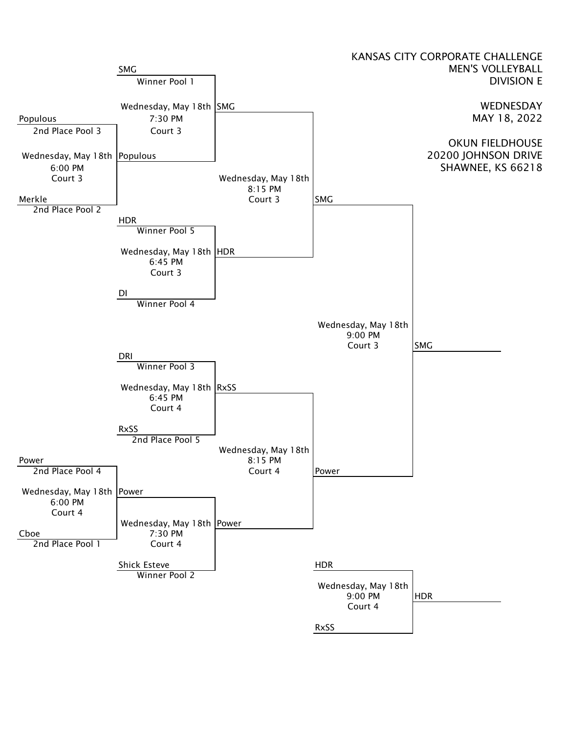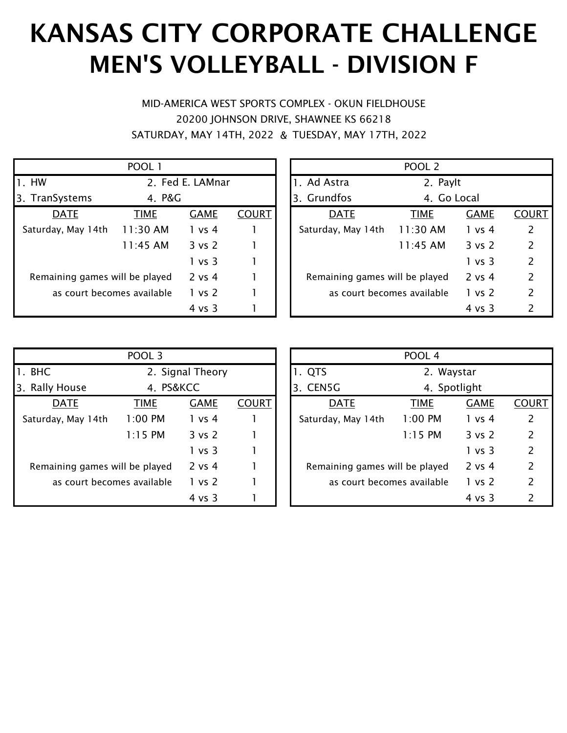# KANSAS CITY CORPORATE CHALLENGE MEN'S VOLLEYBALL - DIVISION F

& SATURDAY, MAY 14TH, 2022 TUESDAY, MAY 17TH, 2022 MID-AMERICA WEST SPORTS COMPLEX - OKUN FIELDHOUSE 20200 JOHNSON DRIVE, SHAWNEE KS 66218

|                                | POOL 1           |             |              |                                | POOL <sub>2</sub> |             |                |
|--------------------------------|------------------|-------------|--------------|--------------------------------|-------------------|-------------|----------------|
| $\mathsf{I}$ . HW              | 2. Fed E. LAMnar |             |              | 1. Ad Astra                    | 2. Paylt          |             |                |
| <b>B</b> .<br>TranSystems      | 4. P&G           |             |              | <b>Grundfos</b><br>3.          | 4. Go Local       |             |                |
| <b>DATE</b>                    | <b>TIME</b>      | <b>GAME</b> | <b>COURT</b> | <b>DATE</b>                    | <b>TIME</b>       | <b>GAME</b> | COL            |
| Saturday, May 14th             | 11:30 AM         | 1 vs 4      |              | Saturday, May 14th             | 11:30 AM          | 1 vs 4      | 2              |
|                                | 11:45 AM         | 3 vs 2      |              |                                | 11:45 AM          | 3 vs 2      | $\overline{2}$ |
|                                |                  | 1 vs 3      |              |                                |                   | 1 vs 3      | $\overline{2}$ |
| Remaining games will be played |                  | $2$ vs $4$  |              | Remaining games will be played |                   | 2 vs 4      | $\overline{2}$ |
| as court becomes available     |                  | 1 vs 2      |              | as court becomes available     |                   | 1 vs 2      | $\overline{2}$ |
|                                |                  | 4 vs 3      |              |                                |                   | 4 vs 3      | 2              |

|                             | POOL 1      |             |              |                                | POOL <sub>2</sub> |                   |               |
|-----------------------------|-------------|-------------|--------------|--------------------------------|-------------------|-------------------|---------------|
| 2. Fed E. LAMnar            |             |             | 1. Ad Astra  | 2. Paylt                       |                   |                   |               |
| Systems                     | 4. P&G      |             |              | 3. Grundfos                    |                   | 4. Go Local       |               |
| <b>DATE</b>                 | <b>TIME</b> | <b>GAME</b> | <b>COURT</b> | <b>DATE</b>                    | <b>TIME</b>       | <b>GAME</b>       | <b>COURT</b>  |
| ay, May 14th                | 11:30 AM    | 1 vs 4      |              | Saturday, May 14th             | 11:30 AM          | 1 vs 4            |               |
|                             | 11:45 AM    | 3 vs 2      |              |                                | 11:45 AM          | $3 \text{ vs } 2$ | $\mathcal{P}$ |
|                             |             | 1 vs 3      |              |                                |                   | 1 vs 3            | $\mathcal{P}$ |
| iining games will be played |             | $2$ vs $4$  |              | Remaining games will be played |                   | 2 vs 4            | 2             |
| as court becomes available  |             | 1 vs 2      |              | as court becomes available     |                   | 1 vs 2            | 2             |
|                             |             | 4 vs 3      |              |                                |                   | 4 vs 3            | 2             |

|                                | POOL 3           |                   |              |                                | POOL 4      |             |                |
|--------------------------------|------------------|-------------------|--------------|--------------------------------|-------------|-------------|----------------|
| 1. BHC                         | 2. Signal Theory |                   |              | 1. QTS                         | 2. Waystar  |             |                |
| 3. Rally House                 | 4. PS&KCC        |                   | 3. CEN5G     | 4. Spotlight                   |             |             |                |
| <b>DATE</b>                    | <b>TIME</b>      | <b>GAME</b>       | <b>COURT</b> | <b>DATE</b>                    | <b>TIME</b> | <b>GAME</b> | COL            |
| Saturday, May 14th             | $1:00$ PM        | 1 vs 4            |              | Saturday, May 14th             | 1:00 PM     | 1 vs 4      | $\overline{2}$ |
|                                | $1:15$ PM        | $3 \text{ vs } 2$ |              |                                | $1:15$ PM   | 3 vs 2      | $\overline{2}$ |
|                                |                  | 1 vs 3            |              |                                |             | 1 vs 3      | $\overline{2}$ |
| Remaining games will be played |                  | 2 vs 4            |              | Remaining games will be played |             | 2 vs 4      | $\overline{2}$ |
| as court becomes available     |                  | 1 vs 2            |              | as court becomes available     |             | 1 vs 2      | $\overline{2}$ |
|                                |                  | 4 vs 3            |              |                                |             | 4 vs 3      | 2              |

| POOL 3                      |             |             |              |  |                                | POOL 4       |             |               |
|-----------------------------|-------------|-------------|--------------|--|--------------------------------|--------------|-------------|---------------|
| 2. Signal Theory            |             |             |              |  | 1. QTS                         | 2. Waystar   |             |               |
| House                       | 4. PS&KCC   |             |              |  | 3. CEN5G                       | 4. Spotlight |             |               |
| <b>DATE</b>                 | <b>TIME</b> | <b>GAME</b> | <b>COURT</b> |  | <b>DATE</b>                    | <b>TIME</b>  | <b>GAME</b> | <b>COURT</b>  |
| ay, May 14th                | $1:00$ PM   | 1 vs 4      |              |  | Saturday, May 14th             | $1:00$ PM    | 1 vs 4      | 2             |
|                             | $1:15$ PM   | 3 vs 2      |              |  |                                | $1:15$ PM    | 3 vs 2      | $\mathcal{P}$ |
|                             |             | 1 vs 3      |              |  |                                |              | 1 vs 3      | $\mathcal{P}$ |
| iining games will be played |             | $2$ vs $4$  |              |  | Remaining games will be played |              | $2$ vs 4    | $\mathcal{P}$ |
| as court becomes available  |             | 1 vs 2      |              |  | as court becomes available     |              | 1 vs 2      | $\mathcal{P}$ |
|                             |             | 4 vs 3      |              |  |                                |              | 4 vs 3      |               |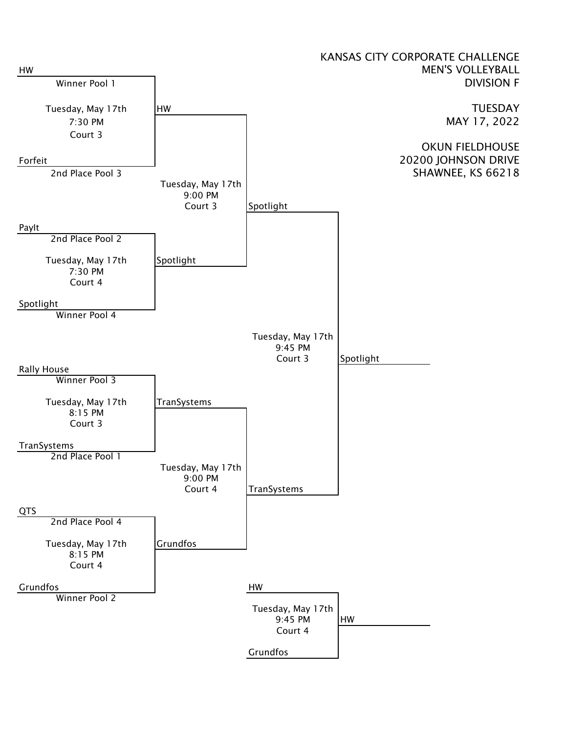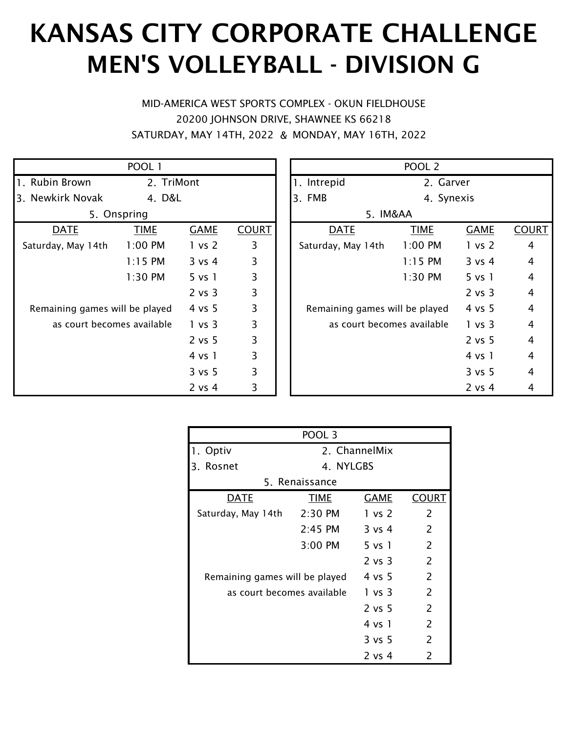# KANSAS CITY CORPORATE CHALLENGE MEN'S VOLLEYBALL - DIVISION G

& SATURDAY, MAY 14TH, 2022 MONDAY, MAY 16TH, 2022 MID-AMERICA WEST SPORTS COMPLEX - OKUN FIELDHOUSE 20200 JOHNSON DRIVE, SHAWNEE KS 66218

|                                | POOL 1      |                    |              |                                | POOL <sub>2</sub> |                   |                |
|--------------------------------|-------------|--------------------|--------------|--------------------------------|-------------------|-------------------|----------------|
| 1. Rubin Brown                 | 2. TriMont  |                    |              | 1. Intrepid                    | 2. Garver         |                   |                |
| 3. Newkirk Novak               | 4. D&L      |                    |              | 3. FMB                         | 4. Synexis        |                   |                |
|                                | 5. Onspring |                    |              | 5. IM&AA                       |                   |                   |                |
| <b>DATE</b>                    | <b>TIME</b> | <b>GAME</b>        | <b>COURT</b> | <b>DATE</b>                    | <b>TIME</b>       | <b>GAME</b>       | <b>COL</b>     |
| Saturday, May 14th             | $1:00$ PM   | 1 vs 2             | 3            | Saturday, May 14th             | $1:00$ PM         | 1 vs 2            | $\overline{4}$ |
|                                | $1:15$ PM   | 3 v s 4            | 3            |                                | $1:15$ PM         | 3 v s 4           | 4              |
|                                | 1:30 PM     | 5 v <sub>s</sub> 1 | 3            |                                | $1:30$ PM         | 5 vs 1            | 4              |
|                                |             | 2 vs 3             | 3            |                                |                   | 2 vs 3            | $\overline{4}$ |
| Remaining games will be played |             | 4 vs 5             | 3            | Remaining games will be played |                   | $4 \text{ vs } 5$ | $\overline{4}$ |
| as court becomes available     |             | 1 vs 3             | 3            | as court becomes available     |                   | 1 vs 3            | 4              |
|                                |             | 2 vs 5             | 3            |                                |                   | 2 vs 5            | 4              |
|                                |             | 4 vs 1             | 3            |                                |                   | 4 vs 1            | $\overline{4}$ |
|                                |             | 3 vs 5             | 3            |                                |                   | 3 vs 5            | 4              |
|                                |             | $2$ vs $4$         | 3            |                                |                   | $2$ vs $4$        | 4              |

|                             | POOL 1      |             |              | POOL <sub>2</sub>              |             |                    |              |  |
|-----------------------------|-------------|-------------|--------------|--------------------------------|-------------|--------------------|--------------|--|
| n Brown                     | 2. TriMont  |             | 1. Intrepid  | 2. Garver                      |             |                    |              |  |
| kirk Novak                  | 4. D&L      |             |              | 3. FMB                         | 4. Synexis  |                    |              |  |
| 5. Onspring                 |             |             | 5. IM&AA     |                                |             |                    |              |  |
| <u>DATE</u>                 | <b>TIME</b> | <b>GAME</b> | <b>COURT</b> | <b>DATE</b>                    | <b>TIME</b> | <b>GAME</b>        | <b>COURT</b> |  |
| ay, May 14th                | $1:00$ PM   | 1 vs 2      | 3            | Saturday, May 14th             | 1:00 PM     | 1 vs 2             | 4            |  |
|                             | $1:15$ PM   | 3 v s 4     | 3            |                                | $1:15$ PM   | 3 vs 4             | 4            |  |
|                             | 1:30 PM     | $5$ vs $1$  | 3            |                                | 1:30 PM     | 5 v <sub>s</sub> 1 | 4            |  |
|                             |             | 2 vs 3      | 3            |                                |             | 2 vs 3             | 4            |  |
| iining games will be played |             | 4 vs 5      | 3            | Remaining games will be played |             | 4 vs 5             | 4            |  |
| as court becomes available  |             | 1 vs 3      | 3            | as court becomes available     |             | 1 vs 3             | 4            |  |
|                             |             | 2 vs 5      | 3            |                                |             | 2 vs 5             | 4            |  |
|                             |             | 4 vs 1      | 3            |                                |             | 4 vs 1             | 4            |  |
|                             |             | 3 vs 5      | 3            |                                |             | 3 vs 5             | 4            |  |
|                             |             | $2$ vs $4$  | 3            |                                |             | 2 vs 4             | 4            |  |

| POOL <sub>3</sub>              |                     |                   |              |  |  |  |  |
|--------------------------------|---------------------|-------------------|--------------|--|--|--|--|
| 1. Optiv                       | 2. ChannelMix       |                   |              |  |  |  |  |
| Rosnet<br>З.                   | 4. NYLGBS           |                   |              |  |  |  |  |
|                                | 5. Renaissance      |                   |              |  |  |  |  |
| <b>DATE</b>                    | TIME                | GAME              | <b>COURT</b> |  |  |  |  |
| Saturday, May 14th             | $2:30$ PM           | 1 vs 2            | 2            |  |  |  |  |
|                                | $2:45$ PM           | $3$ vs 4          | 2            |  |  |  |  |
|                                | $3:00 \, \text{PM}$ | 5 vs 1            | 2            |  |  |  |  |
|                                |                     | $2$ vs $3$        | 2            |  |  |  |  |
| Remaining games will be played |                     | $4 \text{ vs } 5$ | 2            |  |  |  |  |
| as court becomes available     |                     | 1 vs 3            | 2            |  |  |  |  |
|                                |                     | 2 vs 5            | 2            |  |  |  |  |
|                                |                     | 4 vs 1            | 2            |  |  |  |  |
|                                |                     | 3 vs 5            | 2            |  |  |  |  |
|                                |                     | 2 vs 4            | 2            |  |  |  |  |